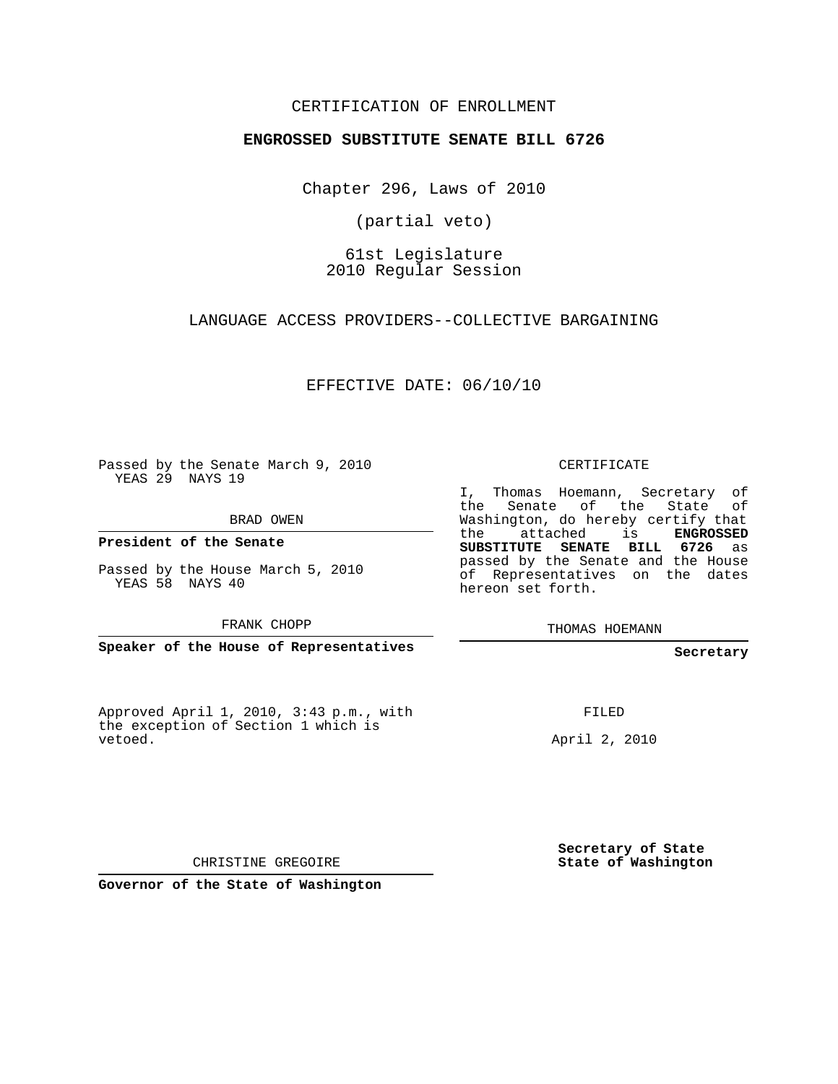## CERTIFICATION OF ENROLLMENT

## **ENGROSSED SUBSTITUTE SENATE BILL 6726**

Chapter 296, Laws of 2010

(partial veto)

61st Legislature 2010 Regular Session

LANGUAGE ACCESS PROVIDERS--COLLECTIVE BARGAINING

EFFECTIVE DATE: 06/10/10

Passed by the Senate March 9, 2010 YEAS 29 NAYS 19

BRAD OWEN

**President of the Senate**

Passed by the House March 5, 2010 YEAS 58 NAYS 40

FRANK CHOPP

**Speaker of the House of Representatives**

Approved April 1, 2010, 3:43 p.m., with the exception of Section 1 which is vetoed.

CERTIFICATE

I, Thomas Hoemann, Secretary of the Senate of the State Washington, do hereby certify that the attached is **ENGROSSED SUBSTITUTE SENATE BILL 6726** as passed by the Senate and the House of Representatives on the dates hereon set forth.

THOMAS HOEMANN

**Secretary**

FILED

April 2, 2010

**Secretary of State State of Washington**

CHRISTINE GREGOIRE

**Governor of the State of Washington**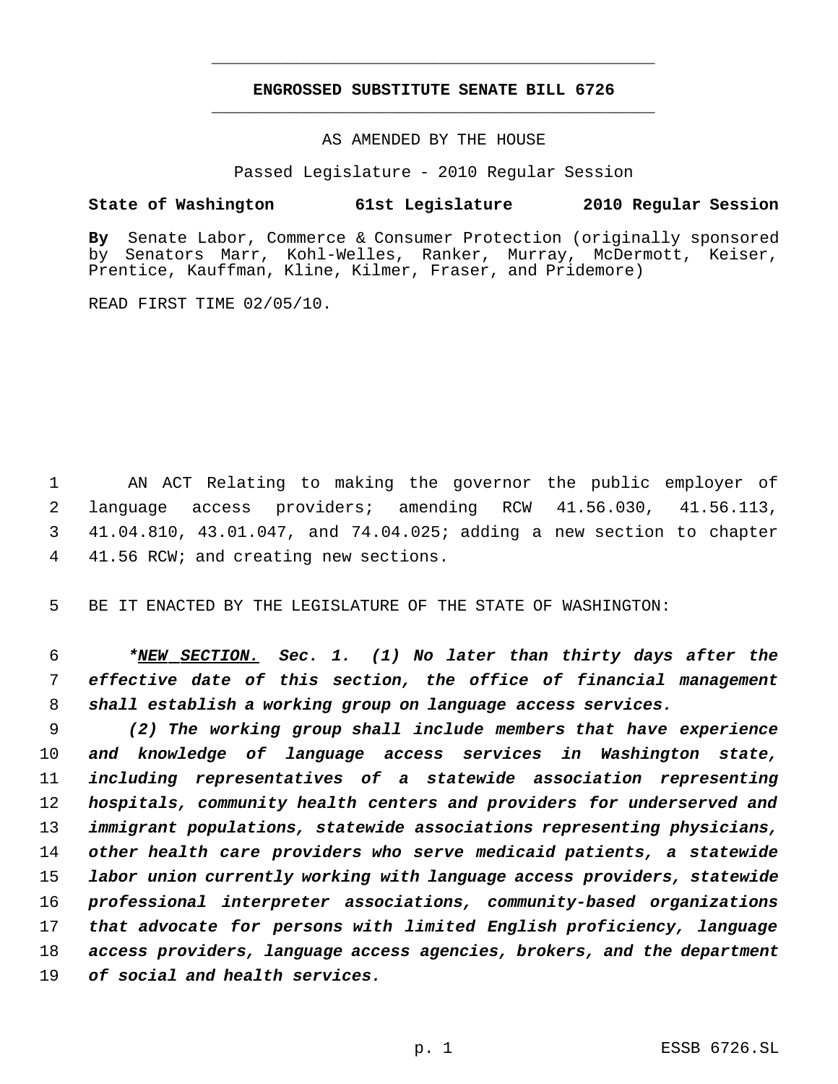## **ENGROSSED SUBSTITUTE SENATE BILL 6726** \_\_\_\_\_\_\_\_\_\_\_\_\_\_\_\_\_\_\_\_\_\_\_\_\_\_\_\_\_\_\_\_\_\_\_\_\_\_\_\_\_\_\_\_\_

\_\_\_\_\_\_\_\_\_\_\_\_\_\_\_\_\_\_\_\_\_\_\_\_\_\_\_\_\_\_\_\_\_\_\_\_\_\_\_\_\_\_\_\_\_

AS AMENDED BY THE HOUSE

Passed Legislature - 2010 Regular Session

## **State of Washington 61st Legislature 2010 Regular Session**

**By** Senate Labor, Commerce & Consumer Protection (originally sponsored by Senators Marr, Kohl-Welles, Ranker, Murray, McDermott, Keiser, Prentice, Kauffman, Kline, Kilmer, Fraser, and Pridemore)

READ FIRST TIME 02/05/10.

 AN ACT Relating to making the governor the public employer of language access providers; amending RCW 41.56.030, 41.56.113, 41.04.810, 43.01.047, and 74.04.025; adding a new section to chapter 41.56 RCW; and creating new sections.

BE IT ENACTED BY THE LEGISLATURE OF THE STATE OF WASHINGTON:

 *\*NEW SECTION. Sec. 1. (1) No later than thirty days after the effective date of this section, the office of financial management shall establish a working group on language access services.*

 *(2) The working group shall include members that have experience and knowledge of language access services in Washington state, including representatives of a statewide association representing hospitals, community health centers and providers for underserved and immigrant populations, statewide associations representing physicians, other health care providers who serve medicaid patients, a statewide labor union currently working with language access providers, statewide professional interpreter associations, community-based organizations that advocate for persons with limited English proficiency, language access providers, language access agencies, brokers, and the department of social and health services.*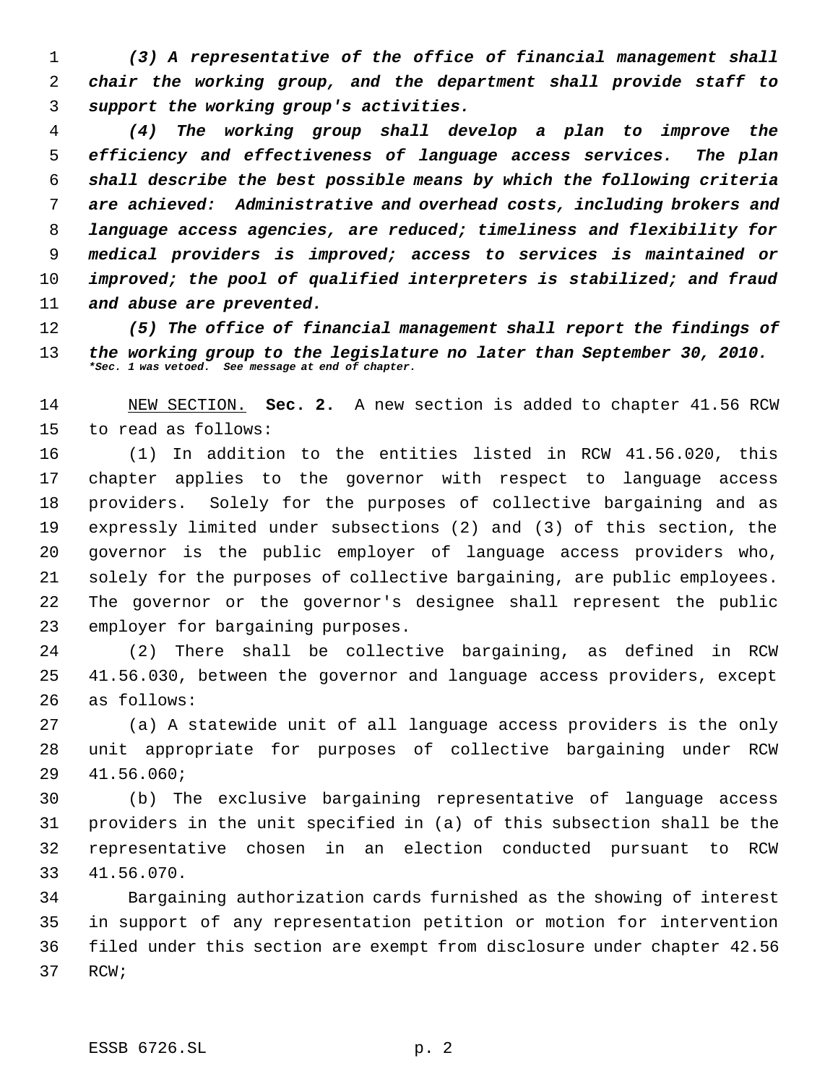*(3) A representative of the office of financial management shall chair the working group, and the department shall provide staff to support the working group's activities.*

 *(4) The working group shall develop a plan to improve the efficiency and effectiveness of language access services. The plan shall describe the best possible means by which the following criteria are achieved: Administrative and overhead costs, including brokers and language access agencies, are reduced; timeliness and flexibility for medical providers is improved; access to services is maintained or improved; the pool of qualified interpreters is stabilized; and fraud and abuse are prevented.*

 *(5) The office of financial management shall report the findings of the working group to the legislature no later than September 30, 2010. \*Sec. 1 was vetoed. See message at end of chapter.*

 NEW SECTION. **Sec. 2.** A new section is added to chapter 41.56 RCW to read as follows:

 (1) In addition to the entities listed in RCW 41.56.020, this chapter applies to the governor with respect to language access providers. Solely for the purposes of collective bargaining and as expressly limited under subsections (2) and (3) of this section, the governor is the public employer of language access providers who, solely for the purposes of collective bargaining, are public employees. The governor or the governor's designee shall represent the public employer for bargaining purposes.

 (2) There shall be collective bargaining, as defined in RCW 41.56.030, between the governor and language access providers, except as follows:

 (a) A statewide unit of all language access providers is the only unit appropriate for purposes of collective bargaining under RCW 41.56.060;

 (b) The exclusive bargaining representative of language access providers in the unit specified in (a) of this subsection shall be the representative chosen in an election conducted pursuant to RCW 41.56.070.

 Bargaining authorization cards furnished as the showing of interest in support of any representation petition or motion for intervention filed under this section are exempt from disclosure under chapter 42.56 RCW;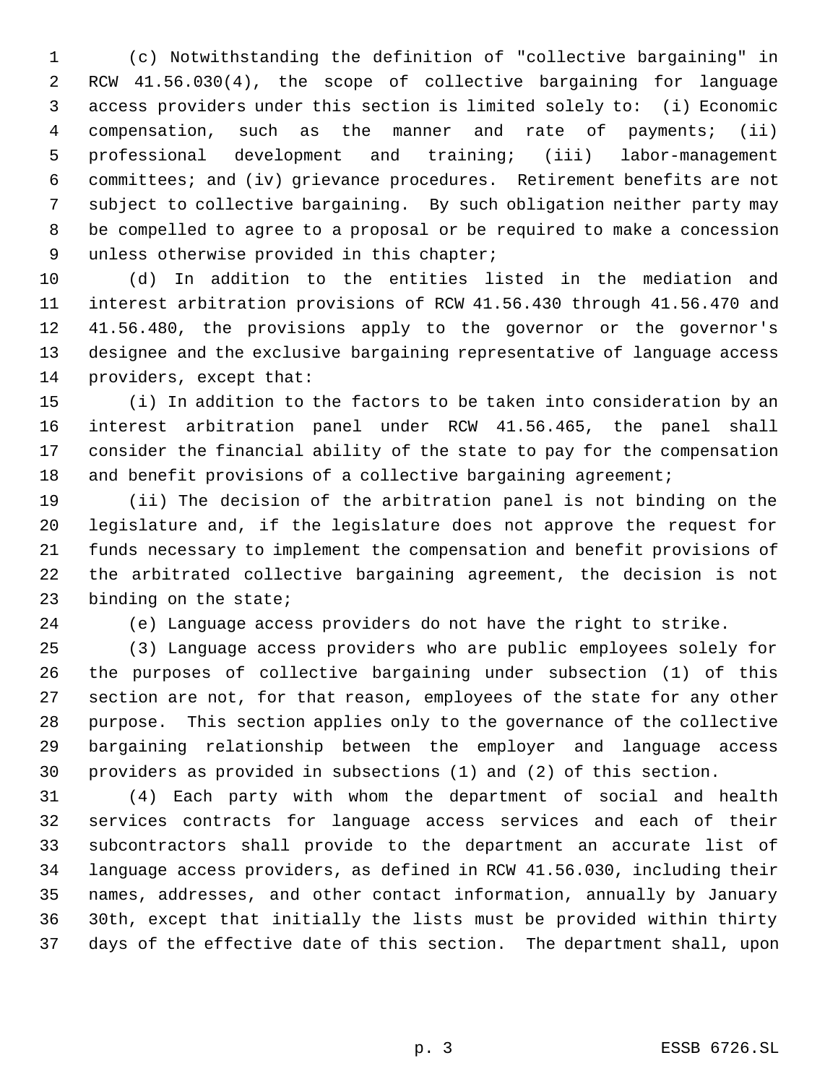(c) Notwithstanding the definition of "collective bargaining" in RCW 41.56.030(4), the scope of collective bargaining for language access providers under this section is limited solely to: (i) Economic compensation, such as the manner and rate of payments; (ii) professional development and training; (iii) labor-management committees; and (iv) grievance procedures. Retirement benefits are not subject to collective bargaining. By such obligation neither party may be compelled to agree to a proposal or be required to make a concession unless otherwise provided in this chapter;

 (d) In addition to the entities listed in the mediation and interest arbitration provisions of RCW 41.56.430 through 41.56.470 and 41.56.480, the provisions apply to the governor or the governor's designee and the exclusive bargaining representative of language access providers, except that:

 (i) In addition to the factors to be taken into consideration by an interest arbitration panel under RCW 41.56.465, the panel shall consider the financial ability of the state to pay for the compensation 18 and benefit provisions of a collective bargaining agreement;

 (ii) The decision of the arbitration panel is not binding on the legislature and, if the legislature does not approve the request for funds necessary to implement the compensation and benefit provisions of the arbitrated collective bargaining agreement, the decision is not binding on the state;

(e) Language access providers do not have the right to strike.

 (3) Language access providers who are public employees solely for the purposes of collective bargaining under subsection (1) of this section are not, for that reason, employees of the state for any other purpose. This section applies only to the governance of the collective bargaining relationship between the employer and language access providers as provided in subsections (1) and (2) of this section.

 (4) Each party with whom the department of social and health services contracts for language access services and each of their subcontractors shall provide to the department an accurate list of language access providers, as defined in RCW 41.56.030, including their names, addresses, and other contact information, annually by January 30th, except that initially the lists must be provided within thirty days of the effective date of this section. The department shall, upon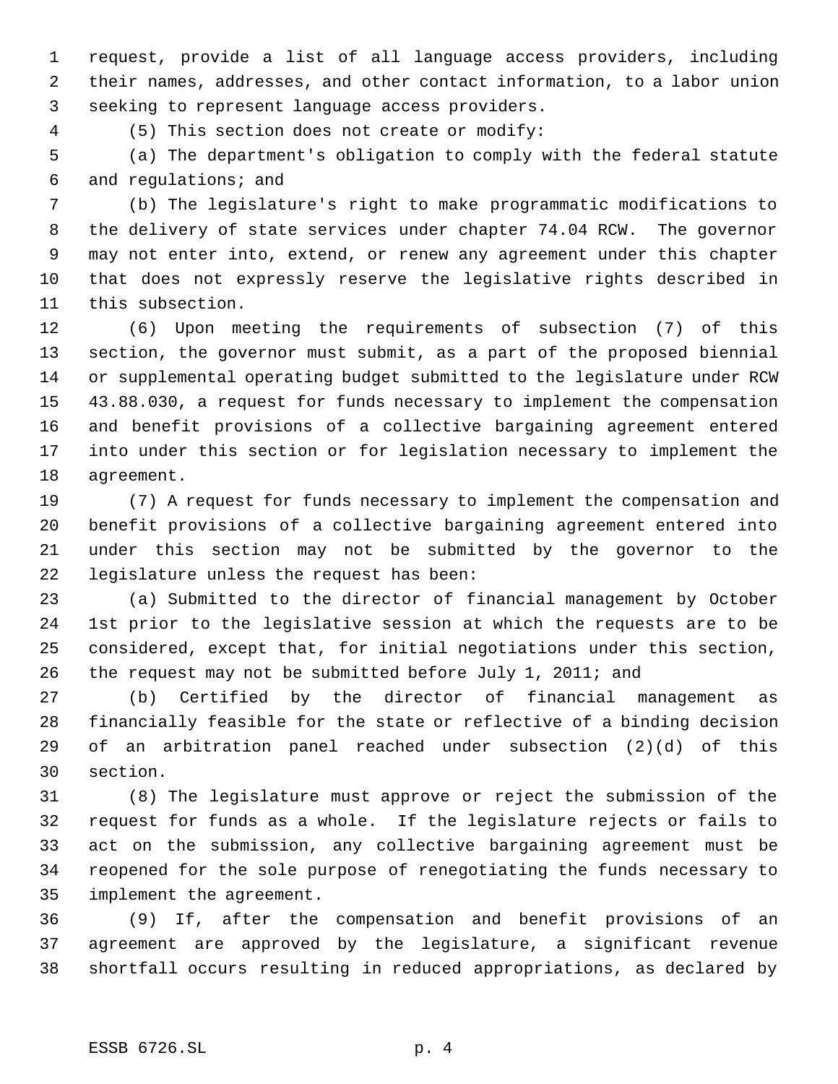request, provide a list of all language access providers, including their names, addresses, and other contact information, to a labor union seeking to represent language access providers.

(5) This section does not create or modify:

 (a) The department's obligation to comply with the federal statute and regulations; and

 (b) The legislature's right to make programmatic modifications to the delivery of state services under chapter 74.04 RCW. The governor may not enter into, extend, or renew any agreement under this chapter that does not expressly reserve the legislative rights described in this subsection.

 (6) Upon meeting the requirements of subsection (7) of this section, the governor must submit, as a part of the proposed biennial or supplemental operating budget submitted to the legislature under RCW 43.88.030, a request for funds necessary to implement the compensation and benefit provisions of a collective bargaining agreement entered into under this section or for legislation necessary to implement the agreement.

 (7) A request for funds necessary to implement the compensation and benefit provisions of a collective bargaining agreement entered into under this section may not be submitted by the governor to the legislature unless the request has been:

 (a) Submitted to the director of financial management by October 1st prior to the legislative session at which the requests are to be considered, except that, for initial negotiations under this section, the request may not be submitted before July 1, 2011; and

 (b) Certified by the director of financial management as financially feasible for the state or reflective of a binding decision of an arbitration panel reached under subsection (2)(d) of this section.

 (8) The legislature must approve or reject the submission of the request for funds as a whole. If the legislature rejects or fails to act on the submission, any collective bargaining agreement must be reopened for the sole purpose of renegotiating the funds necessary to implement the agreement.

 (9) If, after the compensation and benefit provisions of an agreement are approved by the legislature, a significant revenue shortfall occurs resulting in reduced appropriations, as declared by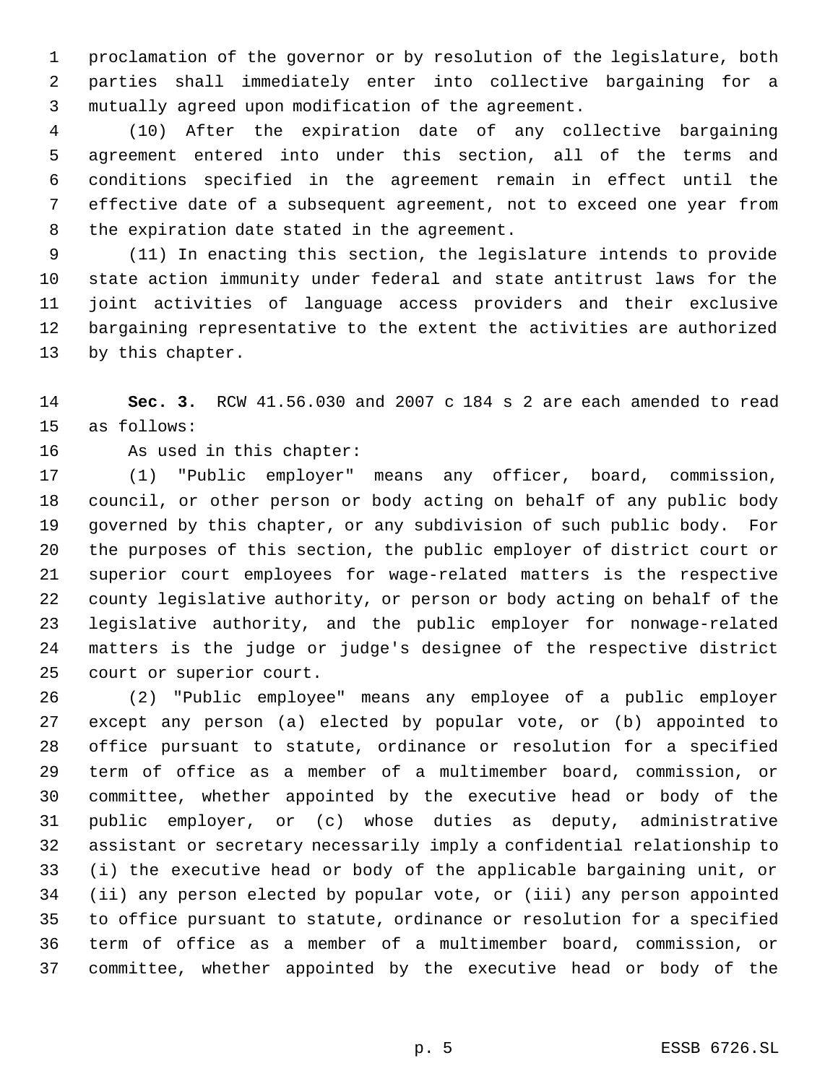proclamation of the governor or by resolution of the legislature, both parties shall immediately enter into collective bargaining for a mutually agreed upon modification of the agreement.

 (10) After the expiration date of any collective bargaining agreement entered into under this section, all of the terms and conditions specified in the agreement remain in effect until the effective date of a subsequent agreement, not to exceed one year from the expiration date stated in the agreement.

 (11) In enacting this section, the legislature intends to provide state action immunity under federal and state antitrust laws for the joint activities of language access providers and their exclusive bargaining representative to the extent the activities are authorized by this chapter.

 **Sec. 3.** RCW 41.56.030 and 2007 c 184 s 2 are each amended to read as follows:

As used in this chapter:

 (1) "Public employer" means any officer, board, commission, council, or other person or body acting on behalf of any public body governed by this chapter, or any subdivision of such public body. For the purposes of this section, the public employer of district court or superior court employees for wage-related matters is the respective county legislative authority, or person or body acting on behalf of the legislative authority, and the public employer for nonwage-related matters is the judge or judge's designee of the respective district court or superior court.

 (2) "Public employee" means any employee of a public employer except any person (a) elected by popular vote, or (b) appointed to office pursuant to statute, ordinance or resolution for a specified term of office as a member of a multimember board, commission, or committee, whether appointed by the executive head or body of the public employer, or (c) whose duties as deputy, administrative assistant or secretary necessarily imply a confidential relationship to (i) the executive head or body of the applicable bargaining unit, or (ii) any person elected by popular vote, or (iii) any person appointed to office pursuant to statute, ordinance or resolution for a specified term of office as a member of a multimember board, commission, or committee, whether appointed by the executive head or body of the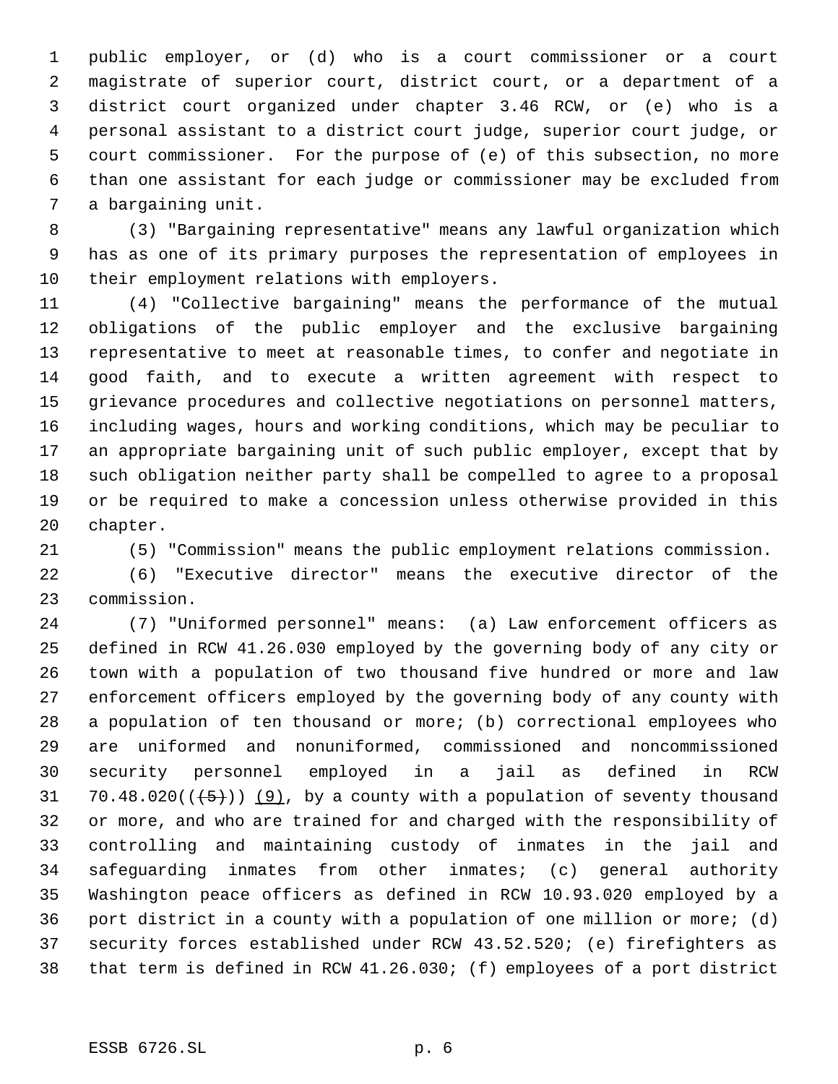public employer, or (d) who is a court commissioner or a court magistrate of superior court, district court, or a department of a district court organized under chapter 3.46 RCW, or (e) who is a personal assistant to a district court judge, superior court judge, or court commissioner. For the purpose of (e) of this subsection, no more than one assistant for each judge or commissioner may be excluded from a bargaining unit.

 (3) "Bargaining representative" means any lawful organization which has as one of its primary purposes the representation of employees in their employment relations with employers.

 (4) "Collective bargaining" means the performance of the mutual obligations of the public employer and the exclusive bargaining representative to meet at reasonable times, to confer and negotiate in good faith, and to execute a written agreement with respect to grievance procedures and collective negotiations on personnel matters, including wages, hours and working conditions, which may be peculiar to an appropriate bargaining unit of such public employer, except that by such obligation neither party shall be compelled to agree to a proposal or be required to make a concession unless otherwise provided in this chapter.

(5) "Commission" means the public employment relations commission.

 (6) "Executive director" means the executive director of the commission.

 (7) "Uniformed personnel" means: (a) Law enforcement officers as defined in RCW 41.26.030 employed by the governing body of any city or town with a population of two thousand five hundred or more and law enforcement officers employed by the governing body of any county with a population of ten thousand or more; (b) correctional employees who are uniformed and nonuniformed, commissioned and noncommissioned security personnel employed in a jail as defined in RCW 31 70.48.020( $(\frac{5}{1})$ )  $(9)$ , by a county with a population of seventy thousand or more, and who are trained for and charged with the responsibility of controlling and maintaining custody of inmates in the jail and safeguarding inmates from other inmates; (c) general authority Washington peace officers as defined in RCW 10.93.020 employed by a port district in a county with a population of one million or more; (d) security forces established under RCW 43.52.520; (e) firefighters as that term is defined in RCW 41.26.030; (f) employees of a port district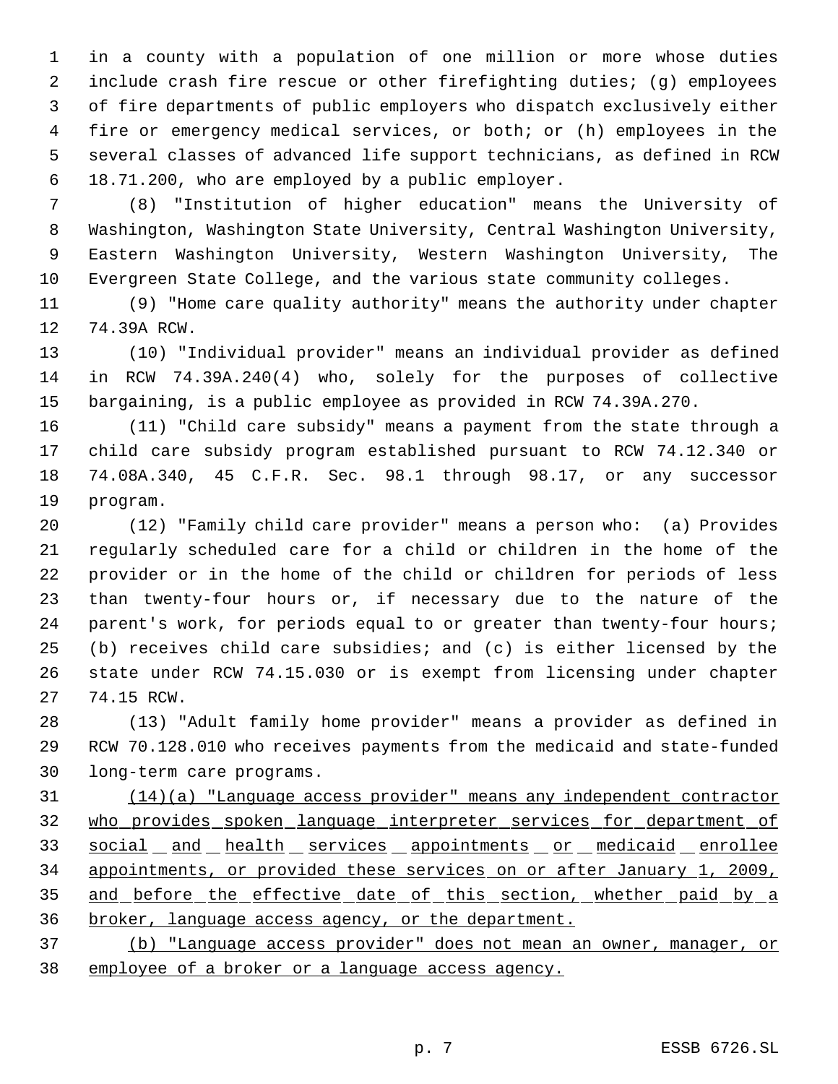in a county with a population of one million or more whose duties include crash fire rescue or other firefighting duties; (g) employees of fire departments of public employers who dispatch exclusively either fire or emergency medical services, or both; or (h) employees in the several classes of advanced life support technicians, as defined in RCW 18.71.200, who are employed by a public employer.

 (8) "Institution of higher education" means the University of Washington, Washington State University, Central Washington University, Eastern Washington University, Western Washington University, The Evergreen State College, and the various state community colleges.

 (9) "Home care quality authority" means the authority under chapter 74.39A RCW.

 (10) "Individual provider" means an individual provider as defined in RCW 74.39A.240(4) who, solely for the purposes of collective bargaining, is a public employee as provided in RCW 74.39A.270.

 (11) "Child care subsidy" means a payment from the state through a child care subsidy program established pursuant to RCW 74.12.340 or 74.08A.340, 45 C.F.R. Sec. 98.1 through 98.17, or any successor program.

 (12) "Family child care provider" means a person who: (a) Provides regularly scheduled care for a child or children in the home of the provider or in the home of the child or children for periods of less than twenty-four hours or, if necessary due to the nature of the parent's work, for periods equal to or greater than twenty-four hours; (b) receives child care subsidies; and (c) is either licensed by the state under RCW 74.15.030 or is exempt from licensing under chapter 74.15 RCW.

 (13) "Adult family home provider" means a provider as defined in RCW 70.128.010 who receives payments from the medicaid and state-funded long-term care programs.

 (14)(a) "Language access provider" means any independent contractor who provides spoken language interpreter services for department of 33 social and health services appointments or medicaid enrollee appointments, or provided these services on or after January 1, 2009, 35 and before the effective date of this section, whether paid by a broker, language access agency, or the department.

 (b) "Language access provider" does not mean an owner, manager, or employee of a broker or a language access agency.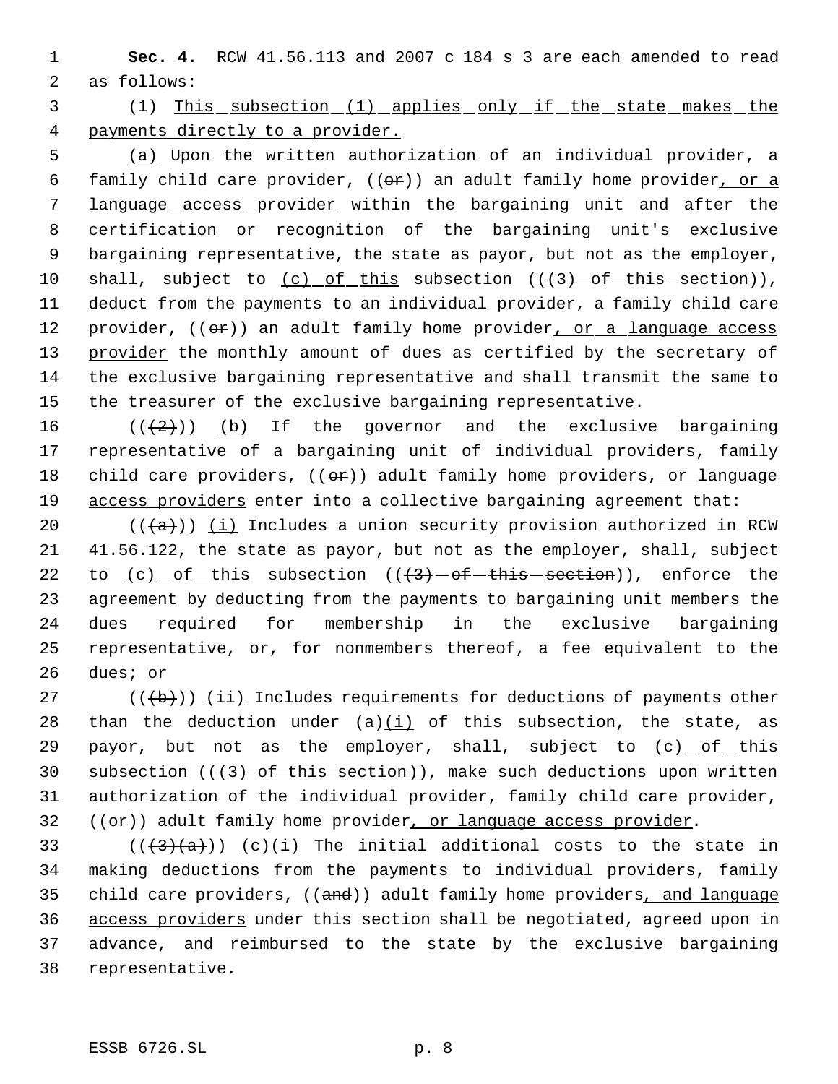1 **Sec. 4.** RCW 41.56.113 and 2007 c 184 s 3 are each amended to read 2 as follows:

 3 (1) This subsection (1) applies only if the state makes the 4 payments directly to a provider.

 (a) Upon the written authorization of an individual provider, a 6 family child care provider,  $((e\rightarrow e))$  an adult family home provider, or a language access provider within the bargaining unit and after the certification or recognition of the bargaining unit's exclusive bargaining representative, the state as payor, but not as the employer, 10 shall, subject to  $(c)$  of this subsection  $((+3)-$ of-this-section)), deduct from the payments to an individual provider, a family child care 12 provider, ((or)) an adult family home provider, or a language access 13 provider the monthly amount of dues as certified by the secretary of the exclusive bargaining representative and shall transmit the same to the treasurer of the exclusive bargaining representative.

16  $((+2)^{n})$  (b) If the governor and the exclusive bargaining 17 representative of a bargaining unit of individual providers, family 18 child care providers, ((or)) adult family home providers, or language 19 access providers enter into a collective bargaining agreement that:

 $((+a))$  ( $\pm$ ) Includes a union security provision authorized in RCW 41.56.122, the state as payor, but not as the employer, shall, subject 22 to  $(c)$  of this subsection  $((+3)$  -of-this section)), enforce the agreement by deducting from the payments to bargaining unit members the dues required for membership in the exclusive bargaining representative, or, for nonmembers thereof, a fee equivalent to the 26 dues; or

27 ( $(\overline{\mathbf{b}})$ ) (ii) Includes requirements for deductions of payments other 28 than the deduction under  $(a)(i)$  of this subsection, the state, as 29 payor, but not as the employer, shall, subject to  $(c)$  of this 30 subsection  $((+3)$  of this section)), make such deductions upon written 31 authorization of the individual provider, family child care provider,  $32$  (( $\Theta$ r)) adult family home provider, or language access provider.

33 ( $(\frac{43}{a})$ )  $(c)(i)$  The initial additional costs to the state in making deductions from the payments to individual providers, family 35 child care providers, ((and)) adult family home providers, and language access providers under this section shall be negotiated, agreed upon in advance, and reimbursed to the state by the exclusive bargaining representative.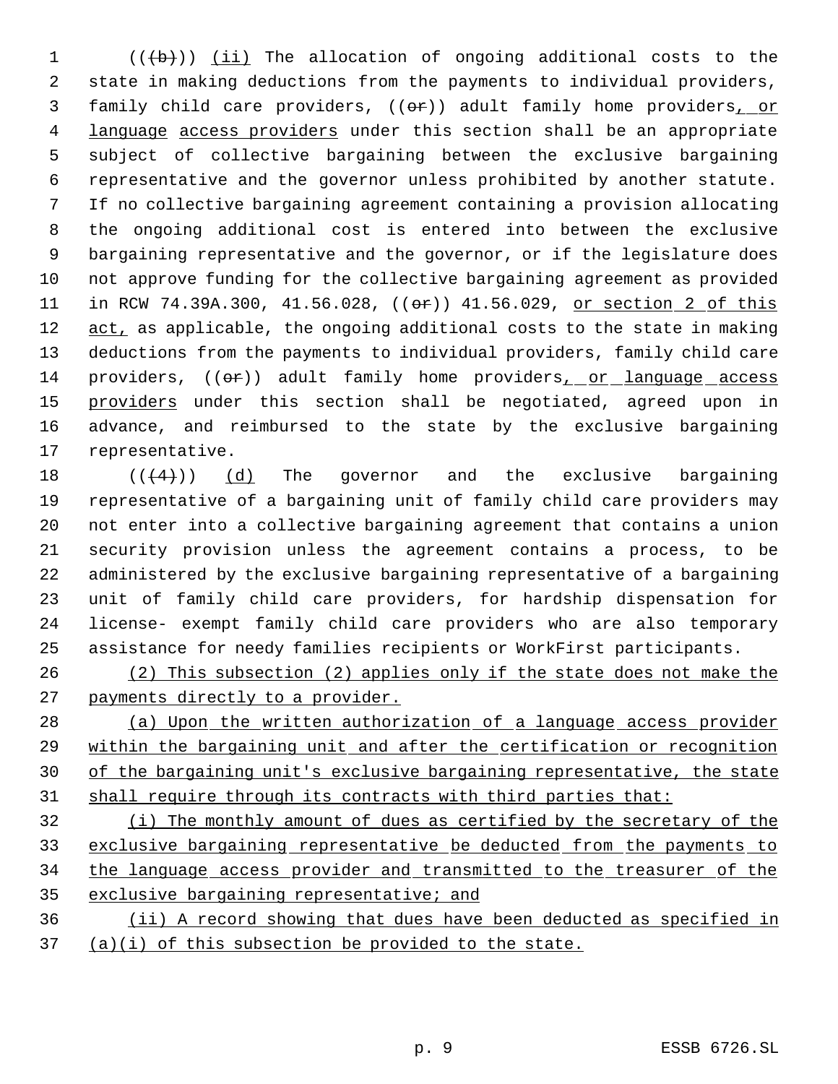$((+b))$   $(ii)$  The allocation of ongoing additional costs to the state in making deductions from the payments to individual providers, 3 family child care providers, ((or)) adult family home providers, or 4 language access providers under this section shall be an appropriate subject of collective bargaining between the exclusive bargaining representative and the governor unless prohibited by another statute. If no collective bargaining agreement containing a provision allocating the ongoing additional cost is entered into between the exclusive bargaining representative and the governor, or if the legislature does not approve funding for the collective bargaining agreement as provided 11 in RCW 74.39A.300, 41.56.028, (( $\Theta$ r)) 41.56.029, or section 2 of this 12 act, as applicable, the ongoing additional costs to the state in making deductions from the payments to individual providers, family child care 14 providers,  $((\theta \cdot \hat{r}))$  adult family home providers, or language access 15 providers under this section shall be negotiated, agreed upon in advance, and reimbursed to the state by the exclusive bargaining representative.

 $((4+))$  (d) The governor and the exclusive bargaining representative of a bargaining unit of family child care providers may not enter into a collective bargaining agreement that contains a union security provision unless the agreement contains a process, to be administered by the exclusive bargaining representative of a bargaining unit of family child care providers, for hardship dispensation for license- exempt family child care providers who are also temporary assistance for needy families recipients or WorkFirst participants.

 (2) This subsection (2) applies only if the state does not make the 27 payments directly to a provider.

 (a) Upon the written authorization of a language access provider within the bargaining unit and after the certification or recognition of the bargaining unit's exclusive bargaining representative, the state 31 shall require through its contracts with third parties that:

 (i) The monthly amount of dues as certified by the secretary of the exclusive bargaining representative be deducted from the payments to the language access provider and transmitted to the treasurer of the 35 exclusive bargaining representative; and

 (ii) A record showing that dues have been deducted as specified in (a)(i) of this subsection be provided to the state.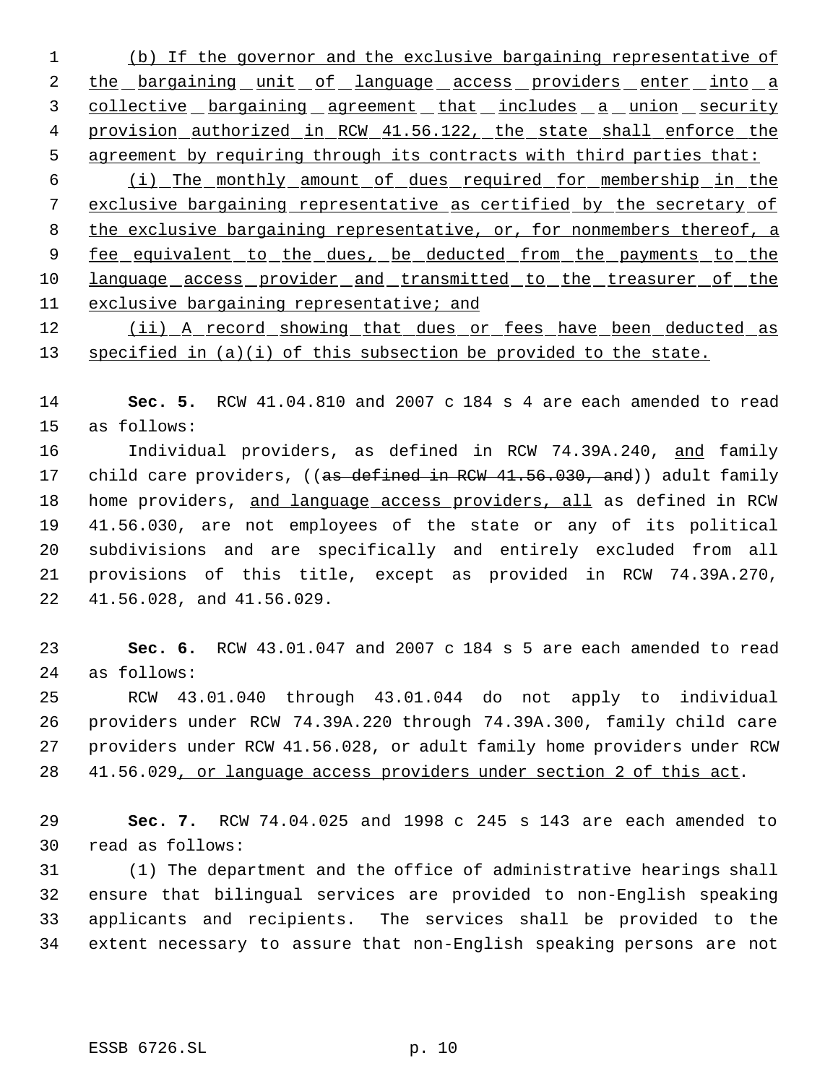(b) If the governor and the exclusive bargaining representative of 2 the bargaining unit of language access providers enter into a 3 collective bargaining agreement that includes a union security 4 provision authorized in RCW 41.56.122, the state shall enforce the agreement by requiring through its contracts with third parties that:

 (i) The monthly amount of dues required for membership in the exclusive bargaining representative as certified by the secretary of 8 the exclusive bargaining representative, or, for nonmembers thereof, a 9 fee equivalent to the dues, be deducted from the payments to the 10 language access provider and transmitted to the treasurer of the exclusive bargaining representative; and

12 (ii) A record showing that dues or fees have been deducted as 13 specified in (a)(i) of this subsection be provided to the state.

 **Sec. 5.** RCW 41.04.810 and 2007 c 184 s 4 are each amended to read as follows:

 Individual providers, as defined in RCW 74.39A.240, and family 17 child care providers, ((as defined in RCW 41.56.030, and)) adult family 18 home providers, and language access providers, all as defined in RCW 41.56.030, are not employees of the state or any of its political subdivisions and are specifically and entirely excluded from all provisions of this title, except as provided in RCW 74.39A.270, 41.56.028, and 41.56.029.

 **Sec. 6.** RCW 43.01.047 and 2007 c 184 s 5 are each amended to read as follows:

 RCW 43.01.040 through 43.01.044 do not apply to individual providers under RCW 74.39A.220 through 74.39A.300, family child care providers under RCW 41.56.028, or adult family home providers under RCW 41.56.029, or language access providers under section 2 of this act.

 **Sec. 7.** RCW 74.04.025 and 1998 c 245 s 143 are each amended to read as follows:

 (1) The department and the office of administrative hearings shall ensure that bilingual services are provided to non-English speaking applicants and recipients. The services shall be provided to the extent necessary to assure that non-English speaking persons are not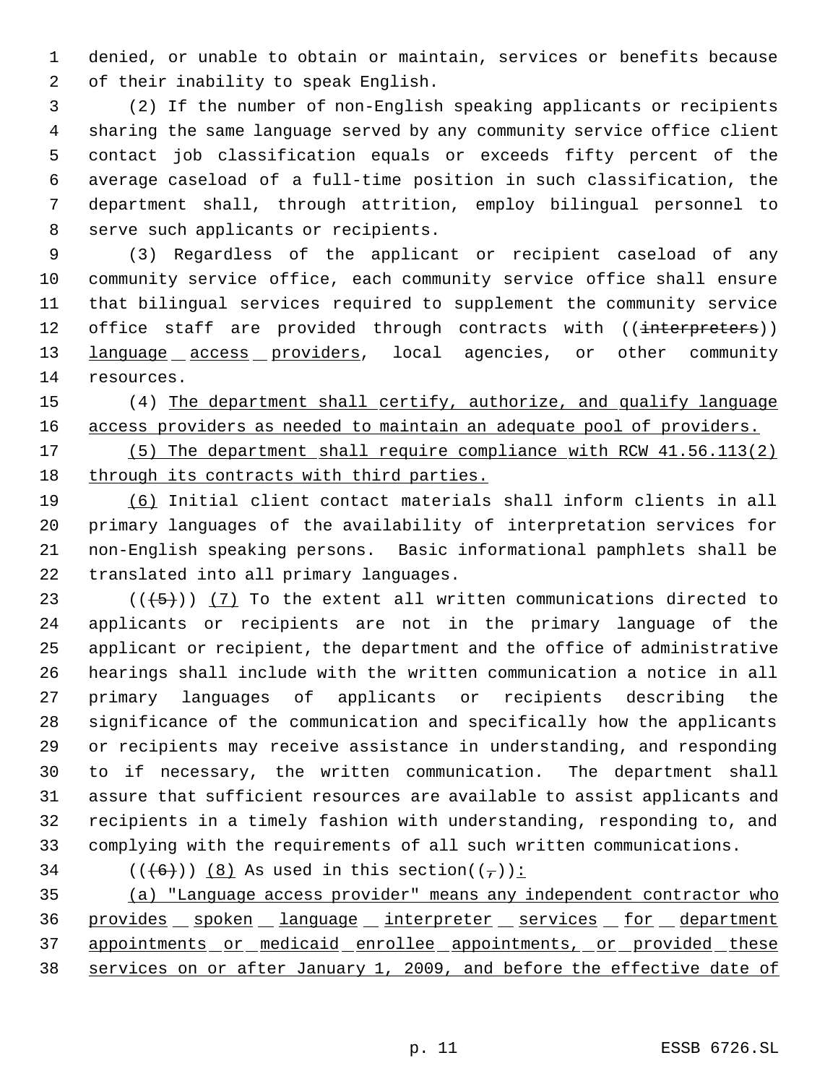denied, or unable to obtain or maintain, services or benefits because of their inability to speak English.

 (2) If the number of non-English speaking applicants or recipients sharing the same language served by any community service office client contact job classification equals or exceeds fifty percent of the average caseload of a full-time position in such classification, the department shall, through attrition, employ bilingual personnel to serve such applicants or recipients.

 (3) Regardless of the applicant or recipient caseload of any community service office, each community service office shall ensure that bilingual services required to supplement the community service 12 office staff are provided through contracts with ((interpreters)) **language access providers**, local agencies, or other community resources.

 (4) The department shall certify, authorize, and qualify language access providers as needed to maintain an adequate pool of providers.

 (5) The department shall require compliance with RCW 41.56.113(2) through its contracts with third parties.

 (6) Initial client contact materials shall inform clients in all primary languages of the availability of interpretation services for non-English speaking persons. Basic informational pamphlets shall be translated into all primary languages.

 $((+5))$   $(7)$  To the extent all written communications directed to applicants or recipients are not in the primary language of the applicant or recipient, the department and the office of administrative hearings shall include with the written communication a notice in all primary languages of applicants or recipients describing the significance of the communication and specifically how the applicants or recipients may receive assistance in understanding, and responding to if necessary, the written communication. The department shall assure that sufficient resources are available to assist applicants and recipients in a timely fashion with understanding, responding to, and complying with the requirements of all such written communications.

34 ( $(\overline{6})$ ) (8) As used in this section( $(\overline{7})$ ):

 (a) "Language access provider" means any independent contractor who 36 provides spoken language interpreter services for department 37 appointments or medicaid enrollee appointments, or provided these services on or after January 1, 2009, and before the effective date of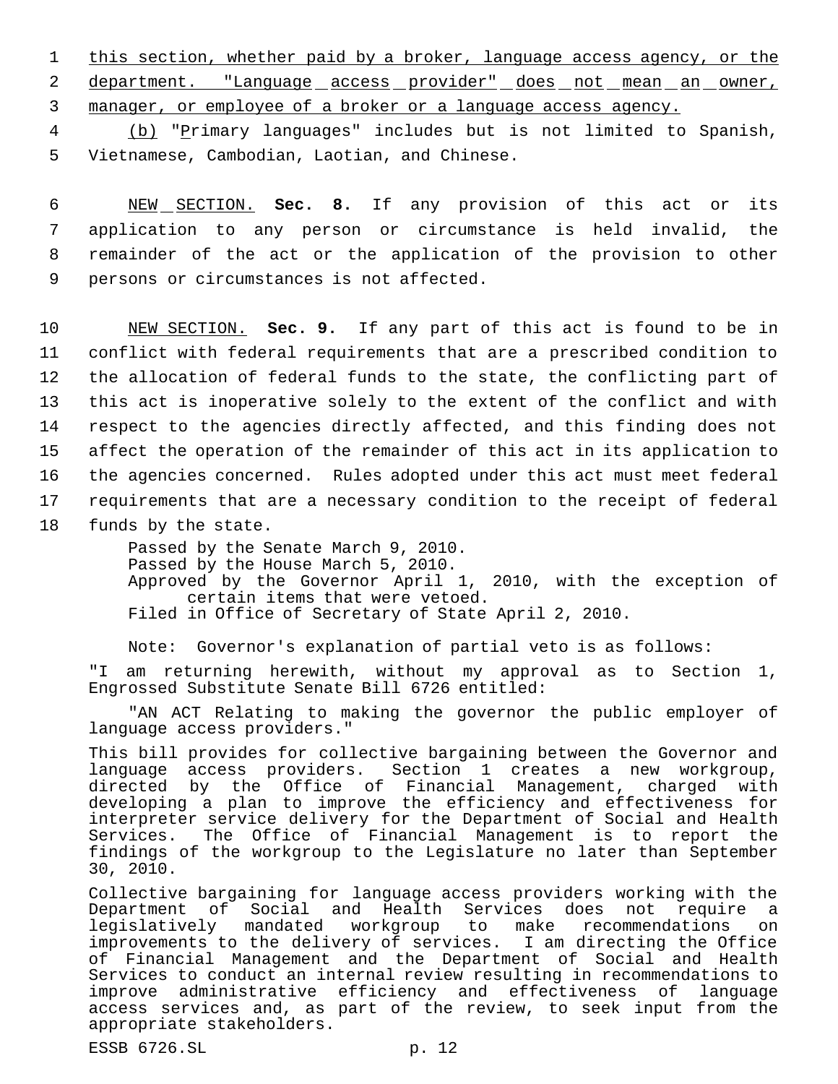1 this section, whether paid by a broker, language access agency, or the 2 department. "Language access provider" does not mean an owner, 3 manager, or employee of a broker or a language access agency.

 4 (b) "Primary languages" includes but is not limited to Spanish, 5 Vietnamese, Cambodian, Laotian, and Chinese.

 NEW SECTION. **Sec. 8.** If any provision of this act or its application to any person or circumstance is held invalid, the remainder of the act or the application of the provision to other persons or circumstances is not affected.

 NEW SECTION. **Sec. 9.** If any part of this act is found to be in conflict with federal requirements that are a prescribed condition to the allocation of federal funds to the state, the conflicting part of this act is inoperative solely to the extent of the conflict and with respect to the agencies directly affected, and this finding does not affect the operation of the remainder of this act in its application to the agencies concerned. Rules adopted under this act must meet federal requirements that are a necessary condition to the receipt of federal funds by the state.

> Passed by the Senate March 9, 2010. Passed by the House March 5, 2010. Approved by the Governor April 1, 2010, with the exception of certain items that were vetoed. Filed in Office of Secretary of State April 2, 2010.

Note: Governor's explanation of partial veto is as follows:

"I am returning herewith, without my approval as to Section 1, Engrossed Substitute Senate Bill 6726 entitled:

"AN ACT Relating to making the governor the public employer of language access providers."

This bill provides for collective bargaining between the Governor and language access providers. Section 1 creates a new workgroup, directed by the Office of Financial Management, charged with developing a plan to improve the efficiency and effectiveness for interpreter service delivery for the Department of Social and Health Services. The Office of Financial Management is to report the findings of the workgroup to the Legislature no later than September 30, 2010.

Collective bargaining for language access providers working with the Department of Social and Health Services does not require a legislatively mandated workgroup to make recommendations on improvements to the delivery of services. I am directing the Office of Financial Management and the Department of Social and Health Services to conduct an internal review resulting in recommendations to improve administrative efficiency and effectiveness of language access services and, as part of the review, to seek input from the appropriate stakeholders.

ESSB 6726.SL p. 12